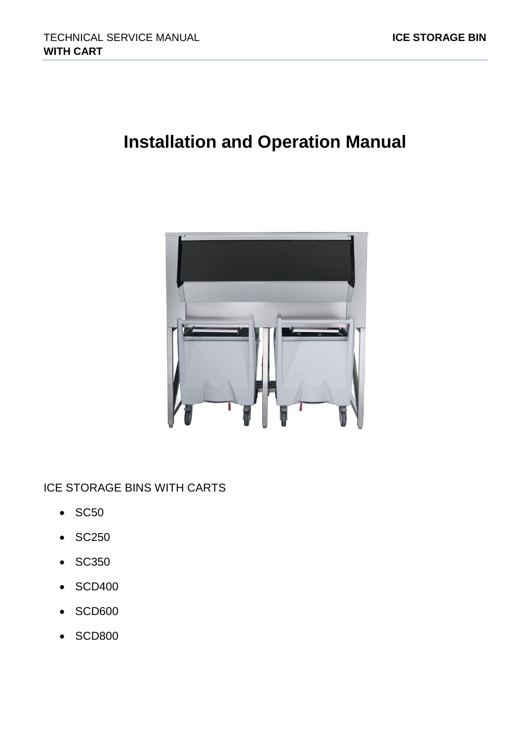# **Installation and Operation Manual**



ICE STORAGE BINS WITH CARTS

- SC50
- SC250
- SC350
- SCD400
- SCD600
- SCD800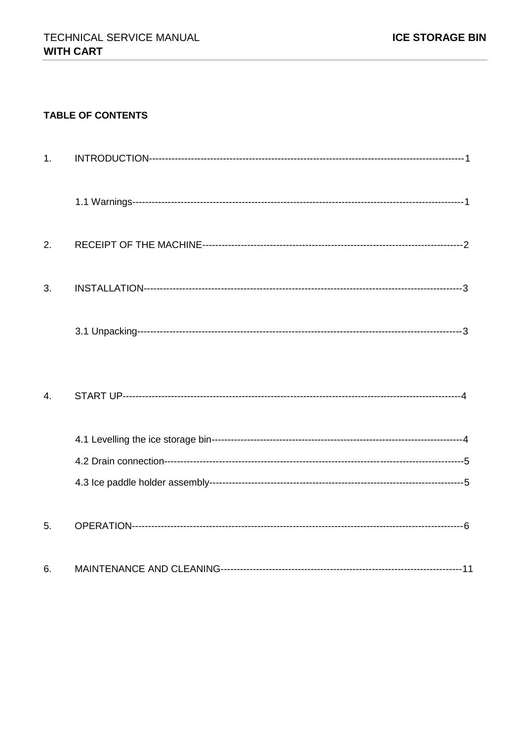### **TABLE OF CONTENTS**

| 1. |  |
|----|--|
|    |  |
| 2. |  |
| 3. |  |
|    |  |
| 4. |  |
|    |  |
|    |  |
|    |  |
| 5. |  |
| 6. |  |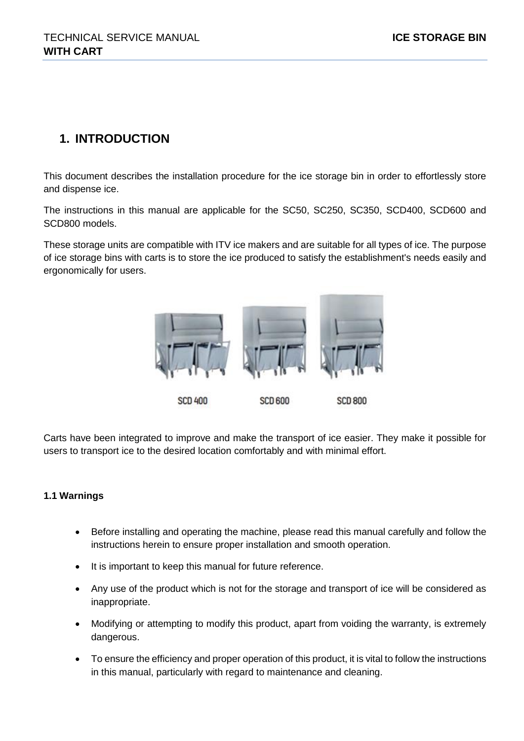# **1. INTRODUCTION**

This document describes the installation procedure for the ice storage bin in order to effortlessly store and dispense ice.

The instructions in this manual are applicable for the SC50, SC250, SC350, SCD400, SCD600 and SCD800 models.

These storage units are compatible with ITV ice makers and are suitable for all types of ice. The purpose of ice storage bins with carts is to store the ice produced to satisfy the establishment's needs easily and ergonomically for users.



Carts have been integrated to improve and make the transport of ice easier. They make it possible for users to transport ice to the desired location comfortably and with minimal effort.

### **1.1 Warnings**

- Before installing and operating the machine, please read this manual carefully and follow the instructions herein to ensure proper installation and smooth operation.
- It is important to keep this manual for future reference.
- Any use of the product which is not for the storage and transport of ice will be considered as inappropriate.
- Modifying or attempting to modify this product, apart from voiding the warranty, is extremely dangerous.
- To ensure the efficiency and proper operation of this product, it is vital to follow the instructions in this manual, particularly with regard to maintenance and cleaning.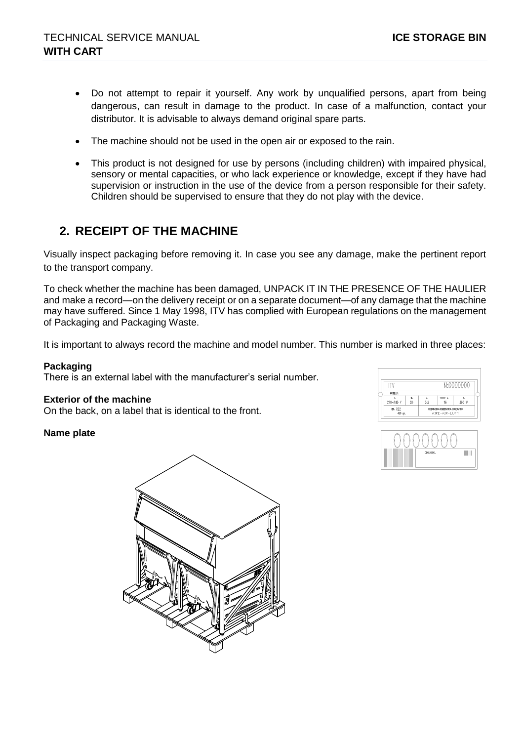- Do not attempt to repair it yourself. Any work by unqualified persons, apart from being dangerous, can result in damage to the product. In case of a malfunction, contact your distributor. It is advisable to always demand original spare parts.
- The machine should not be used in the open air or exposed to the rain.
- This product is not designed for use by persons (including children) with impaired physical, sensory or mental capacities, or who lack experience or knowledge, except if they have had supervision or instruction in the use of the device from a person responsible for their safety. Children should be supervised to ensure that they do not play with the device.

# **2. RECEIPT OF THE MACHINE**

Visually inspect packaging before removing it. In case you see any damage, make the pertinent report to the transport company.

To check whether the machine has been damaged, UNPACK IT IN THE PRESENCE OF THE HAULIER and make a record—on the delivery receipt or on a separate document—of any damage that the machine may have suffered. Since 1 May 1998, ITV has complied with European regulations on the management of Packaging and Packaging Waste.

It is important to always record the machine and model number. This number is marked in three places:

#### **Packaging**

There is an external label with the manufacturer's serial number.

#### **Exterior of the machine**

On the back, on a label that is identical to the front.

#### **Name plate**



| RF R22<br>450 gt. |          | CORRENTE CONDESATO - RONDESATOR<br>AIRE-AIR-LUFT |          |           |
|-------------------|----------|--------------------------------------------------|----------|-----------|
| 220-240 V         | ۳.<br>50 | 3.5                                              | -1<br>16 | 300 W     |
| MODELO:           |          |                                                  |          |           |
|                   |          |                                                  |          | N:0000000 |

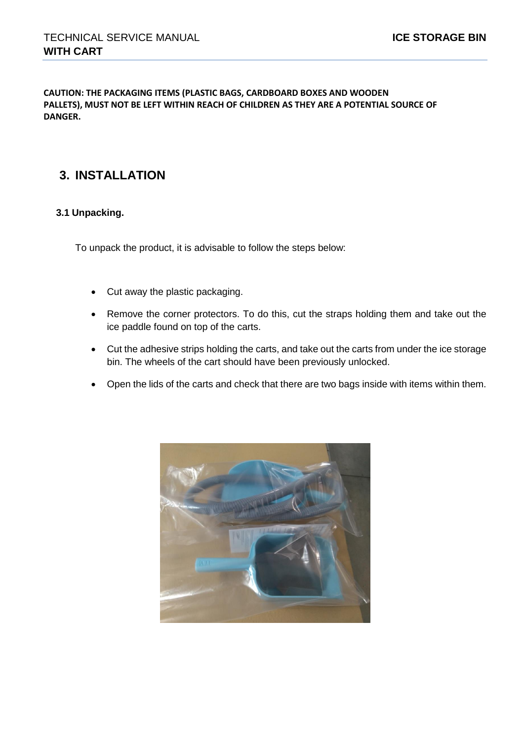**CAUTION: THE PACKAGING ITEMS (PLASTIC BAGS, CARDBOARD BOXES AND WOODEN PALLETS), MUST NOT BE LEFT WITHIN REACH OF CHILDREN AS THEY ARE A POTENTIAL SOURCE OF DANGER.**

# **3. INSTALLATION**

### **3.1 Unpacking.**

To unpack the product, it is advisable to follow the steps below:

- Cut away the plastic packaging.
- Remove the corner protectors. To do this, cut the straps holding them and take out the ice paddle found on top of the carts.
- Cut the adhesive strips holding the carts, and take out the carts from under the ice storage bin. The wheels of the cart should have been previously unlocked.
- Open the lids of the carts and check that there are two bags inside with items within them.

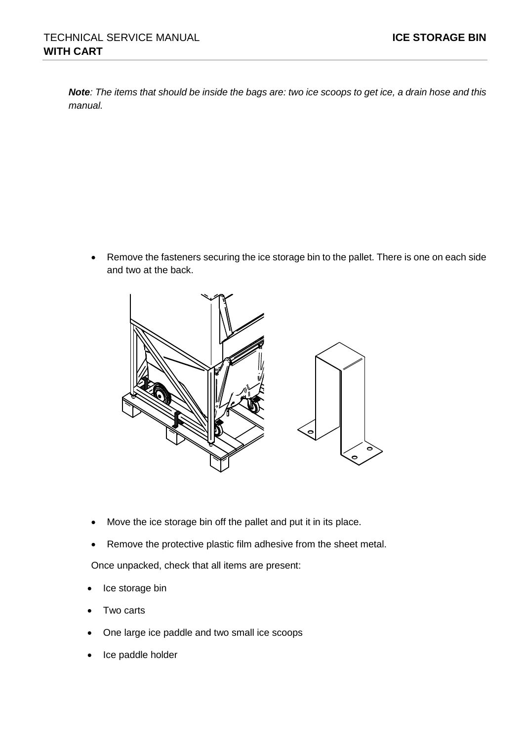*Note: The items that should be inside the bags are: two ice scoops to get ice, a drain hose and this manual.*

• Remove the fasteners securing the ice storage bin to the pallet. There is one on each side and two at the back.



- Move the ice storage bin off the pallet and put it in its place.
- Remove the protective plastic film adhesive from the sheet metal.

Once unpacked, check that all items are present:

- Ice storage bin
- Two carts
- One large ice paddle and two small ice scoops
- Ice paddle holder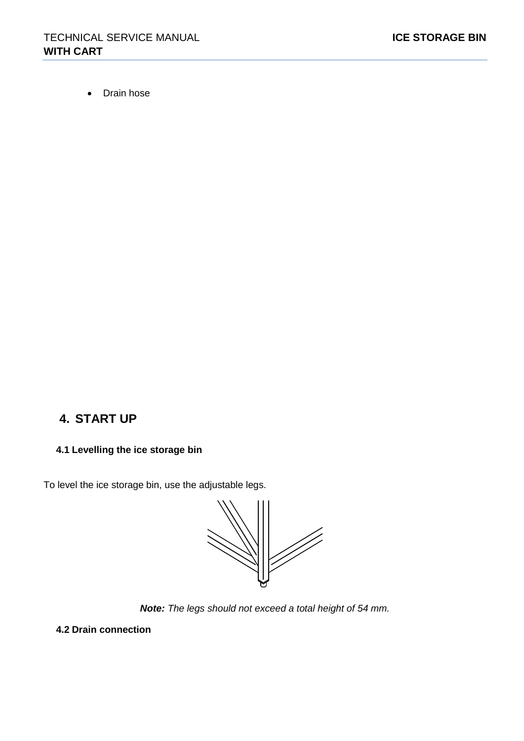• Drain hose

# **4. START UP**

## **4.1 Levelling the ice storage bin**

To level the ice storage bin, use the adjustable legs.

//

*Note: The legs should not exceed a total height of 54 mm.*

**4.2 Drain connection**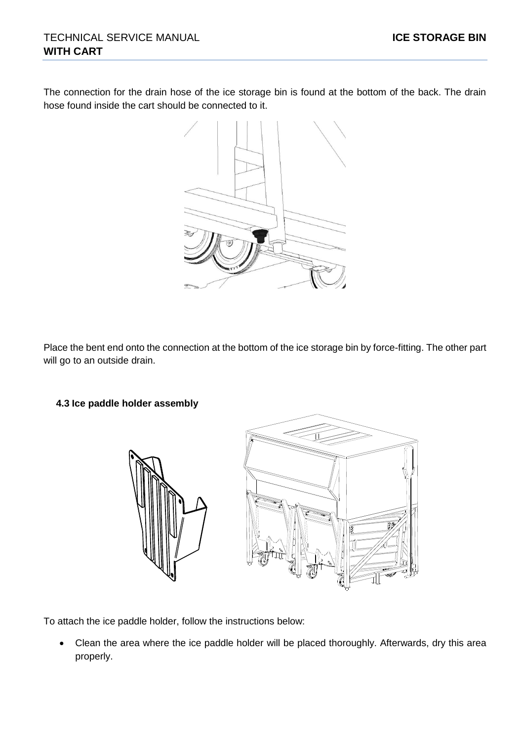The connection for the drain hose of the ice storage bin is found at the bottom of the back. The drain hose found inside the cart should be connected to it.



Place the bent end onto the connection at the bottom of the ice storage bin by force-fitting. The other part will go to an outside drain.

### **4.3 Ice paddle holder assembly**



To attach the ice paddle holder, follow the instructions below:

• Clean the area where the ice paddle holder will be placed thoroughly. Afterwards, dry this area properly.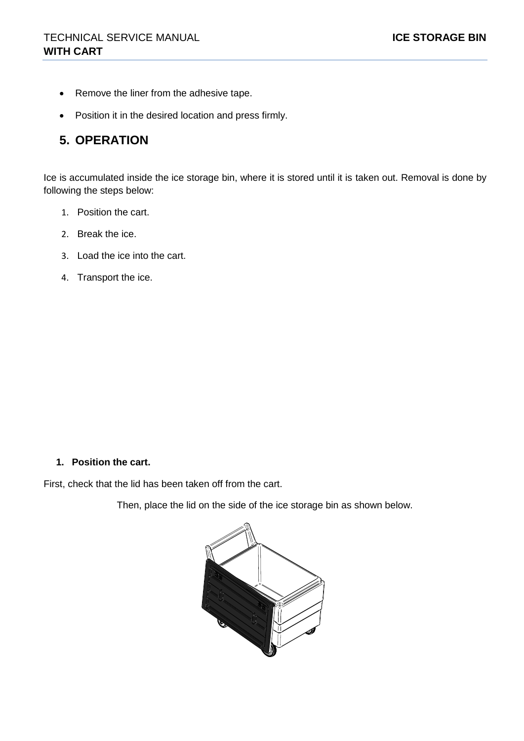- Remove the liner from the adhesive tape.
- Position it in the desired location and press firmly.

# **5. OPERATION**

Ice is accumulated inside the ice storage bin, where it is stored until it is taken out. Removal is done by following the steps below:

- 1. Position the cart.
- 2. Break the ice.
- 3. Load the ice into the cart.
- 4. Transport the ice.

#### **1. Position the cart.**

First, check that the lid has been taken off from the cart.

Then, place the lid on the side of the ice storage bin as shown below.

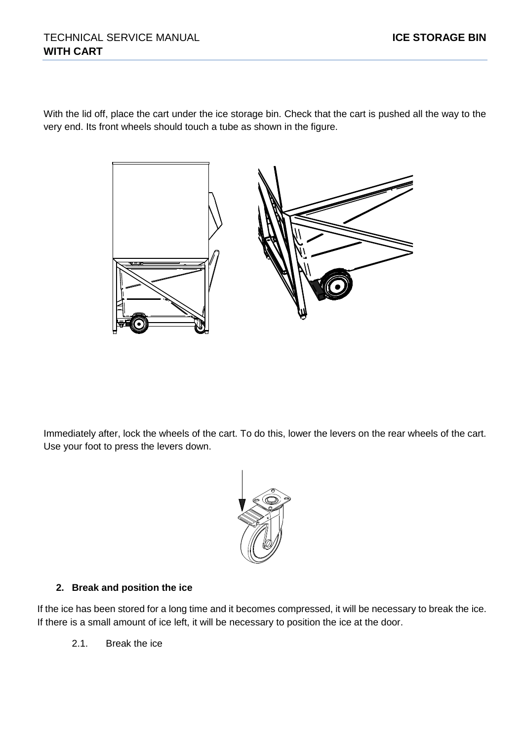With the lid off, place the cart under the ice storage bin. Check that the cart is pushed all the way to the very end. Its front wheels should touch a tube as shown in the figure.



Immediately after, lock the wheels of the cart. To do this, lower the levers on the rear wheels of the cart. Use your foot to press the levers down.



### **2. Break and position the ice**

If the ice has been stored for a long time and it becomes compressed, it will be necessary to break the ice. If there is a small amount of ice left, it will be necessary to position the ice at the door.

2.1. Break the ice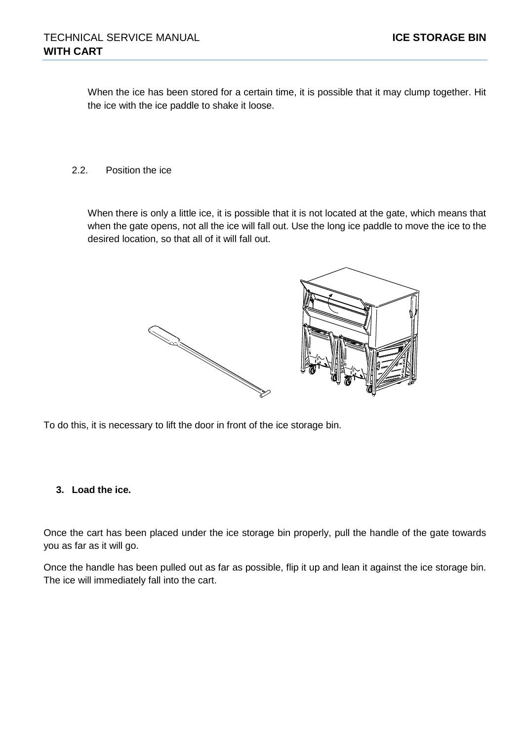When the ice has been stored for a certain time, it is possible that it may clump together. Hit the ice with the ice paddle to shake it loose.

2.2. Position the ice

When there is only a little ice, it is possible that it is not located at the gate, which means that when the gate opens, not all the ice will fall out. Use the long ice paddle to move the ice to the desired location, so that all of it will fall out.



To do this, it is necessary to lift the door in front of the ice storage bin.

#### **3. Load the ice.**

Once the cart has been placed under the ice storage bin properly, pull the handle of the gate towards you as far as it will go.

Once the handle has been pulled out as far as possible, flip it up and lean it against the ice storage bin. The ice will immediately fall into the cart.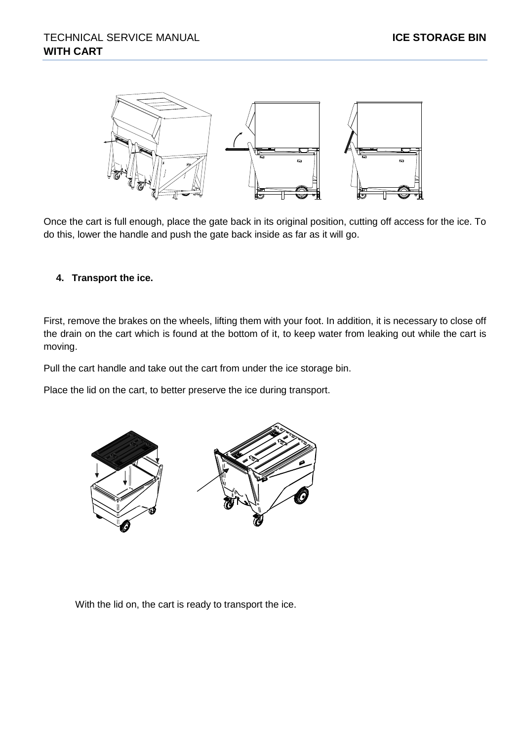

Once the cart is full enough, place the gate back in its original position, cutting off access for the ice. To do this, lower the handle and push the gate back inside as far as it will go.

#### **4. Transport the ice.**

First, remove the brakes on the wheels, lifting them with your foot. In addition, it is necessary to close off the drain on the cart which is found at the bottom of it, to keep water from leaking out while the cart is moving.

Pull the cart handle and take out the cart from under the ice storage bin.

Place the lid on the cart, to better preserve the ice during transport.



With the lid on, the cart is ready to transport the ice.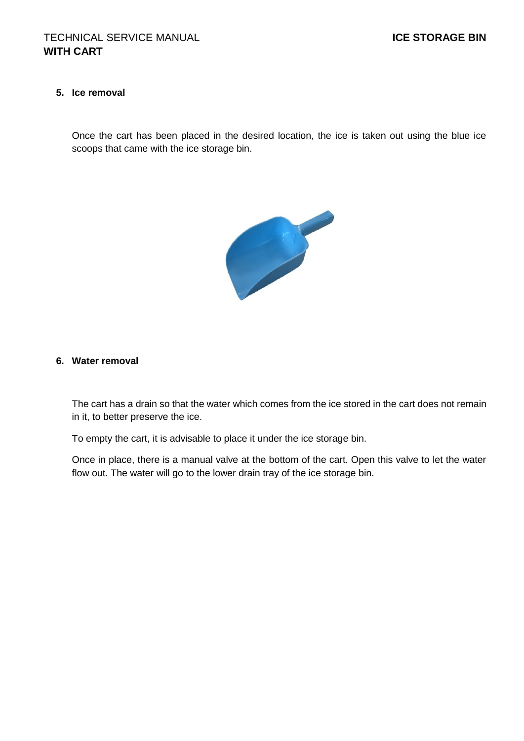#### **5. Ice removal**

Once the cart has been placed in the desired location, the ice is taken out using the blue ice scoops that came with the ice storage bin.



#### **6. Water removal**

The cart has a drain so that the water which comes from the ice stored in the cart does not remain in it, to better preserve the ice.

To empty the cart, it is advisable to place it under the ice storage bin.

Once in place, there is a manual valve at the bottom of the cart. Open this valve to let the water flow out. The water will go to the lower drain tray of the ice storage bin.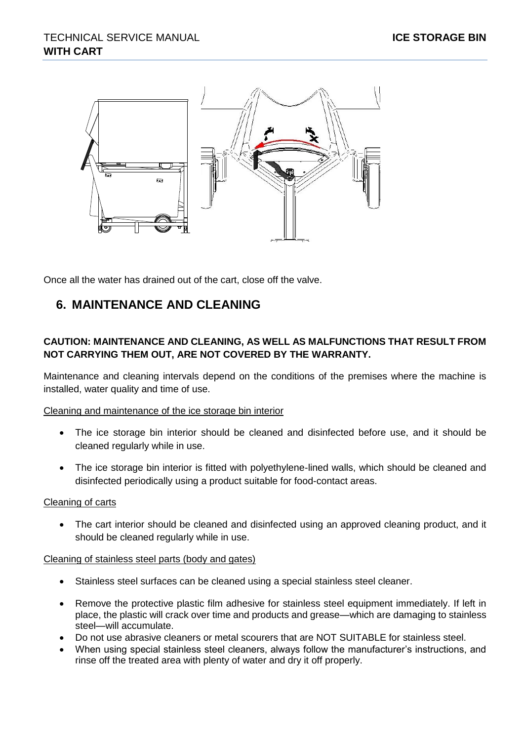

Once all the water has drained out of the cart, close off the valve.

# **6. MAINTENANCE AND CLEANING**

### **CAUTION: MAINTENANCE AND CLEANING, AS WELL AS MALFUNCTIONS THAT RESULT FROM NOT CARRYING THEM OUT, ARE NOT COVERED BY THE WARRANTY.**

Maintenance and cleaning intervals depend on the conditions of the premises where the machine is installed, water quality and time of use.

Cleaning and maintenance of the ice storage bin interior

- The ice storage bin interior should be cleaned and disinfected before use, and it should be cleaned regularly while in use.
- The ice storage bin interior is fitted with polyethylene-lined walls, which should be cleaned and disinfected periodically using a product suitable for food-contact areas.

#### Cleaning of carts

• The cart interior should be cleaned and disinfected using an approved cleaning product, and it should be cleaned regularly while in use.

#### Cleaning of stainless steel parts (body and gates)

- Stainless steel surfaces can be cleaned using a special stainless steel cleaner.
- Remove the protective plastic film adhesive for stainless steel equipment immediately. If left in place, the plastic will crack over time and products and grease—which are damaging to stainless steel—will accumulate.
- Do not use abrasive cleaners or metal scourers that are NOT SUITABLE for stainless steel.
- When using special stainless steel cleaners, always follow the manufacturer's instructions, and rinse off the treated area with plenty of water and dry it off properly.